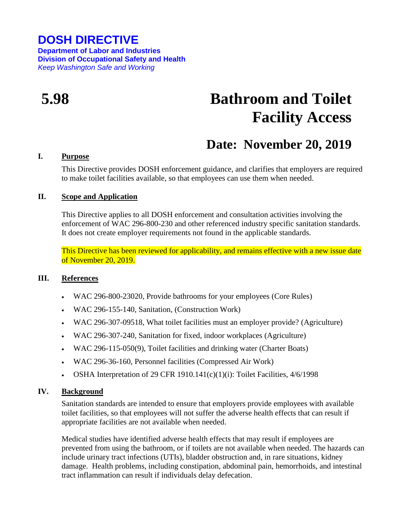## **DOSH DIRECTIVE**

**Department of Labor and Industries Division of Occupational Safety and Health** *Keep Washington Safe and Working*

# **5.98 Bathroom and Toilet Facility Access**

# **Date: November 20, 2019**

#### **I. Purpose**

This Directive provides DOSH enforcement guidance, and clarifies that employers are required to make toilet facilities available, so that employees can use them when needed.

#### **II. Scope and Application**

This Directive applies to all DOSH enforcement and consultation activities involving the enforcement of WAC 296-800-230 and other referenced industry specific sanitation standards. It does not create employer requirements not found in the applicable standards.

This Directive has been reviewed for applicability, and remains effective with a new issue date of November 20, 2019.

#### **III. References**

- WAC 296-800-23020, Provide bathrooms for your employees (Core Rules)
- WAC 296-155-140, Sanitation, (Construction Work)
- WAC 296-307-09518, What toilet facilities must an employer provide? (Agriculture)
- WAC 296-307-240, Sanitation for fixed, indoor workplaces (Agriculture)
- WAC 296-115-050(9), Toilet facilities and drinking water (Charter Boats)
- WAC 296-36-160, Personnel facilities (Compressed Air Work)
- OSHA Interpretation of 29 CFR 1910.141 $(c)(1)(i)$ : Toilet Facilities, 4/6/1998

#### **IV. Background**

Sanitation standards are intended to ensure that employers provide employees with available toilet facilities, so that employees will not suffer the adverse health effects that can result if appropriate facilities are not available when needed.

Medical studies have identified adverse health effects that may result if employees are prevented from using the bathroom, or if toilets are not available when needed. The hazards can include urinary tract infections (UTIs), bladder obstruction and, in rare situations, kidney damage. Health problems, including constipation, abdominal pain, hemorrhoids, and intestinal tract inflammation can result if individuals delay defecation.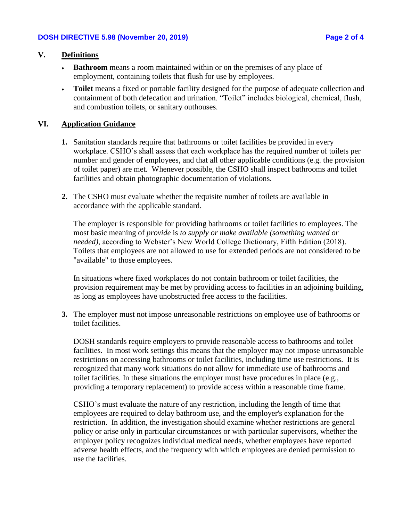### **V. Definitions**

- **Bathroom** means a room maintained within or on the premises of any place of employment, containing toilets that flush for use by employees.
- **Toilet** means a fixed or portable facility designed for the purpose of adequate collection and containment of both defecation and urination. "Toilet" includes biological, chemical, flush, and combustion toilets, or sanitary outhouses.

#### **VI. Application Guidance**

- **1.** Sanitation standards require that bathrooms or toilet facilities be provided in every workplace. CSHO's shall assess that each workplace has the required number of toilets per number and gender of employees, and that all other applicable conditions (e.g. the provision of toilet paper) are met. Whenever possible, the CSHO shall inspect bathrooms and toilet facilities and obtain photographic documentation of violations.
- **2.** The CSHO must evaluate whether the requisite number of toilets are available in accordance with the applicable standard.

The employer is responsible for providing bathrooms or toilet facilities to employees. The most basic meaning of *provide* is *to supply or make available (something wanted or needed)*, according to Webster's New World College Dictionary, Fifth Edition (2018). Toilets that employees are not allowed to use for extended periods are not considered to be "available" to those employees.

In situations where fixed workplaces do not contain bathroom or toilet facilities, the provision requirement may be met by providing access to facilities in an adjoining building, as long as employees have unobstructed free access to the facilities.

**3.** The employer must not impose unreasonable restrictions on employee use of bathrooms or toilet facilities.

DOSH standards require employers to provide reasonable access to bathrooms and toilet facilities. In most work settings this means that the employer may not impose unreasonable restrictions on accessing bathrooms or toilet facilities, including time use restrictions. It is recognized that many work situations do not allow for immediate use of bathrooms and toilet facilities. In these situations the employer must have procedures in place (e.g., providing a temporary replacement) to provide access within a reasonable time frame.

CSHO's must evaluate the nature of any restriction, including the length of time that employees are required to delay bathroom use, and the employer's explanation for the restriction. In addition, the investigation should examine whether restrictions are general policy or arise only in particular circumstances or with particular supervisors, whether the employer policy recognizes individual medical needs, whether employees have reported adverse health effects, and the frequency with which employees are denied permission to use the facilities.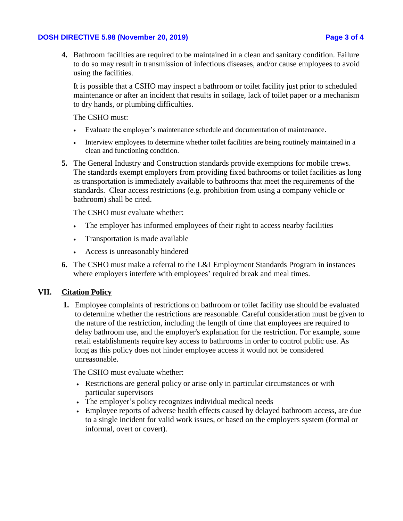#### **DOSH DIRECTIVE 5.98 (November 20, 2019) Page 3 of 4**

**4.** Bathroom facilities are required to be maintained in a clean and sanitary condition. Failure to do so may result in transmission of infectious diseases, and/or cause employees to avoid using the facilities.

It is possible that a CSHO may inspect a bathroom or toilet facility just prior to scheduled maintenance or after an incident that results in soilage, lack of toilet paper or a mechanism to dry hands, or plumbing difficulties.

The CSHO must:

- Evaluate the employer's maintenance schedule and documentation of maintenance.
- Interview employees to determine whether toilet facilities are being routinely maintained in a clean and functioning condition.
- **5.** The General Industry and Construction standards provide exemptions for mobile crews. The standards exempt employers from providing fixed bathrooms or toilet facilities as long as transportation is immediately available to bathrooms that meet the requirements of the standards. Clear access restrictions (e.g. prohibition from using a company vehicle or bathroom) shall be cited.

The CSHO must evaluate whether:

- The employer has informed employees of their right to access nearby facilities
- Transportation is made available
- Access is unreasonably hindered
- **6.** The CSHO must make a referral to the L&I Employment Standards Program in instances where employers interfere with employees' required break and meal times.

#### **VII. Citation Policy**

**1.** Employee complaints of restrictions on bathroom or toilet facility use should be evaluated to determine whether the restrictions are reasonable. Careful consideration must be given to the nature of the restriction, including the length of time that employees are required to delay bathroom use, and the employer's explanation for the restriction. For example, some retail establishments require key access to bathrooms in order to control public use. As long as this policy does not hinder employee access it would not be considered unreasonable.

The CSHO must evaluate whether:

- Restrictions are general policy or arise only in particular circumstances or with particular supervisors
- The employer's policy recognizes individual medical needs
- Employee reports of adverse health effects caused by delayed bathroom access, are due to a single incident for valid work issues, or based on the employers system (formal or informal, overt or covert).